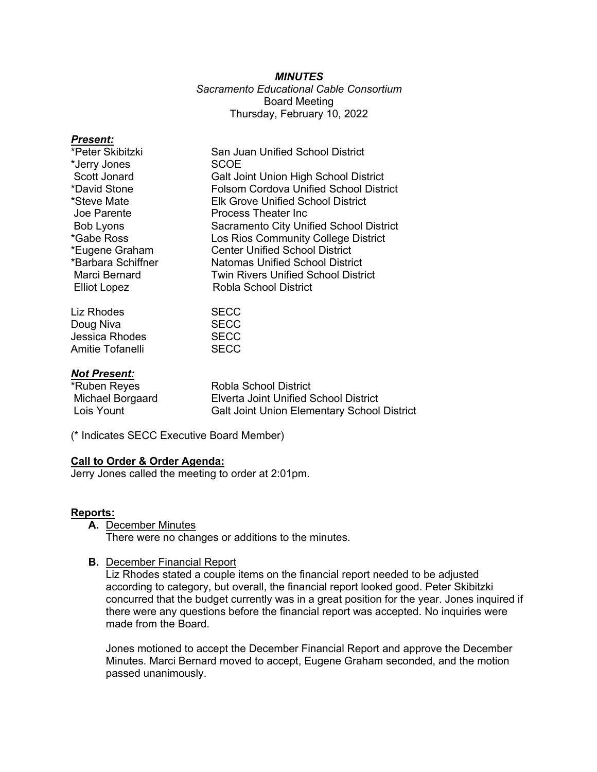## *MINUTES*

## *Sacramento Educational Cable Consortium* Board Meeting Thursday, February 10, 2022

| <b>Present:</b>                      |                                                                               |
|--------------------------------------|-------------------------------------------------------------------------------|
| *Peter Skibitzki                     | San Juan Unified School District                                              |
| *Jerry Jones                         | SCOE                                                                          |
| Scott Jonard                         | Galt Joint Union High School District                                         |
| *David Stone                         | <b>Folsom Cordova Unified School District</b>                                 |
| *Steve Mate                          | <b>Elk Grove Unified School District</b>                                      |
| Joe Parente                          | <b>Process Theater Inc</b>                                                    |
| Bob Lyons                            | Sacramento City Unified School District                                       |
| *Gabe Ross                           | Los Rios Community College District                                           |
| *Eugene Graham<br>*Barbara Schiffner | <b>Center Unified School District</b>                                         |
| Marci Bernard                        | <b>Natomas Unified School District</b><br>Twin Rivers Unified School District |
| <b>Elliot Lopez</b>                  | Robla School District                                                         |
|                                      |                                                                               |
| Liz Rhodes                           | <b>SECC</b>                                                                   |
| Doug Niva                            | <b>SECC</b>                                                                   |
| Jessica Rhodes                       | <b>SECC</b>                                                                   |
| Amitie Tofanelli                     | <b>SECC</b>                                                                   |
|                                      |                                                                               |
| <b>Not Present:</b>                  |                                                                               |
| *Ruben Reyes                         | Robla School District                                                         |
| Michael Borgaard                     | Elverta Joint Unified School District                                         |
| Lois Yount                           | <b>Galt Joint Union Elementary School District</b>                            |

(\* Indicates SECC Executive Board Member)

#### **Call to Order & Order Agenda:**

Jerry Jones called the meeting to order at 2:01pm.

#### **Reports:**

**A.** December Minutes

There were no changes or additions to the minutes.

## **B.** December Financial Report

Liz Rhodes stated a couple items on the financial report needed to be adjusted according to category, but overall, the financial report looked good. Peter Skibitzki concurred that the budget currently was in a great position for the year. Jones inquired if there were any questions before the financial report was accepted. No inquiries were made from the Board.

Jones motioned to accept the December Financial Report and approve the December Minutes. Marci Bernard moved to accept, Eugene Graham seconded, and the motion passed unanimously.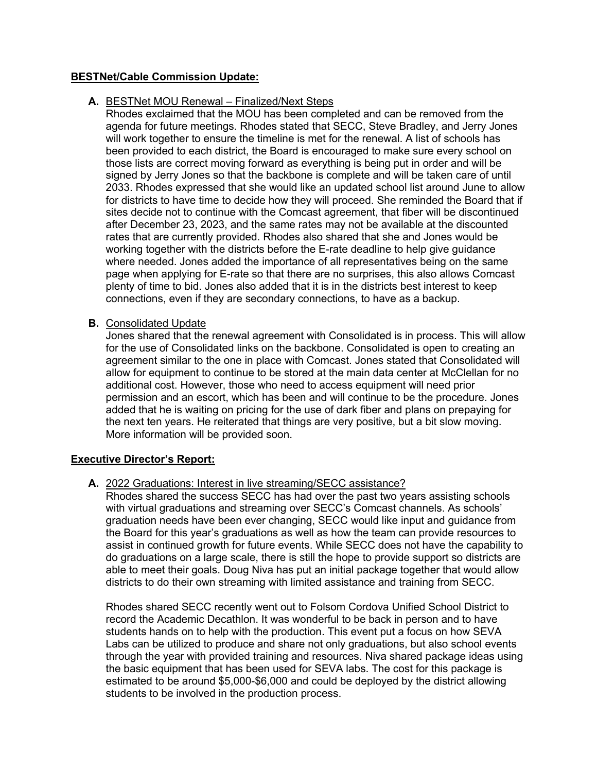### **BESTNet/Cable Commission Update:**

### **A.** BESTNet MOU Renewal – Finalized/Next Steps

Rhodes exclaimed that the MOU has been completed and can be removed from the agenda for future meetings. Rhodes stated that SECC, Steve Bradley, and Jerry Jones will work together to ensure the timeline is met for the renewal. A list of schools has been provided to each district, the Board is encouraged to make sure every school on those lists are correct moving forward as everything is being put in order and will be signed by Jerry Jones so that the backbone is complete and will be taken care of until 2033. Rhodes expressed that she would like an updated school list around June to allow for districts to have time to decide how they will proceed. She reminded the Board that if sites decide not to continue with the Comcast agreement, that fiber will be discontinued after December 23, 2023, and the same rates may not be available at the discounted rates that are currently provided. Rhodes also shared that she and Jones would be working together with the districts before the E-rate deadline to help give guidance where needed. Jones added the importance of all representatives being on the same page when applying for E-rate so that there are no surprises, this also allows Comcast plenty of time to bid. Jones also added that it is in the districts best interest to keep connections, even if they are secondary connections, to have as a backup.

## **B.** Consolidated Update

Jones shared that the renewal agreement with Consolidated is in process. This will allow for the use of Consolidated links on the backbone. Consolidated is open to creating an agreement similar to the one in place with Comcast. Jones stated that Consolidated will allow for equipment to continue to be stored at the main data center at McClellan for no additional cost. However, those who need to access equipment will need prior permission and an escort, which has been and will continue to be the procedure. Jones added that he is waiting on pricing for the use of dark fiber and plans on prepaying for the next ten years. He reiterated that things are very positive, but a bit slow moving. More information will be provided soon.

#### **Executive Director's Report:**

## **A.** 2022 Graduations: Interest in live streaming/SECC assistance?

Rhodes shared the success SECC has had over the past two years assisting schools with virtual graduations and streaming over SECC's Comcast channels. As schools' graduation needs have been ever changing, SECC would like input and guidance from the Board for this year's graduations as well as how the team can provide resources to assist in continued growth for future events. While SECC does not have the capability to do graduations on a large scale, there is still the hope to provide support so districts are able to meet their goals. Doug Niva has put an initial package together that would allow districts to do their own streaming with limited assistance and training from SECC.

Rhodes shared SECC recently went out to Folsom Cordova Unified School District to record the Academic Decathlon. It was wonderful to be back in person and to have students hands on to help with the production. This event put a focus on how SEVA Labs can be utilized to produce and share not only graduations, but also school events through the year with provided training and resources. Niva shared package ideas using the basic equipment that has been used for SEVA labs. The cost for this package is estimated to be around \$5,000-\$6,000 and could be deployed by the district allowing students to be involved in the production process.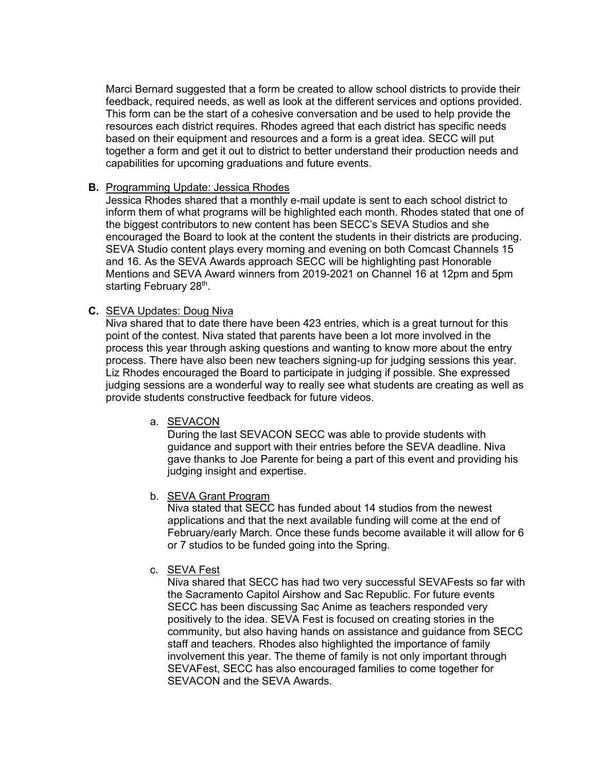Marci Bernard suggested that a form be created to allow school districts to provide their feedback, required needs, as well as look at the different services and options provided. This form can be the start of a cohesive conversation and be used to help provide the resources each district requires. Rhodes agreed that each district has specific needs based on their equipment and resources and a form is a great idea. SECC will put together a form and get it out to district to better understand their production needs and capabilities for upcoming graduations and future events.

### **B.** Programming Update: Jessica Rhodes

Jessica Rhodes shared that a monthly e-mail update is sent to each school district to inform them of what programs will be highlighted each month. Rhodes stated that one of the biggest contributors to new content has been SECC's SEVA Studios and she encouraged the Board to look at the content the students in their districts are producing. SEVA Studio content plays every morning and evening on both Comcast Channels 15 and 16. As the SEVA Awards approach SECC will be highlighting past Honorable Mentions and SEVA Award winners from 2019-2021 on Channel 16 at 12pm and 5pm starting February 28<sup>th</sup>.

## **C.** SEVA Updates: Doug Niva

Niva shared that to date there have been 423 entries, which is a great turnout for this point of the contest. Niva stated that parents have been a lot more involved in the process this year through asking questions and wanting to know more about the entry process. There have also been new teachers signing-up for judging sessions this year. Liz Rhodes encouraged the Board to participate in judging if possible. She expressed judging sessions are a wonderful way to really see what students are creating as well as provide students constructive feedback for future videos.

## a. SEVACON

During the last SEVACON SECC was able to provide students with guidance and support with their entries before the SEVA deadline. Niva gave thanks to Joe Parente for being a part of this event and providing his judging insight and expertise.

## b. SEVA Grant Program

Niva stated that SECC has funded about 14 studios from the newest applications and that the next available funding will come at the end of February/early March. Once these funds become available it will allow for 6 or 7 studios to be funded going into the Spring.

### c. SEVA Fest

Niva shared that SECC has had two very successful SEVAFests so far with the Sacramento Capitol Airshow and Sac Republic. For future events SECC has been discussing Sac Anime as teachers responded very positively to the idea. SEVA Fest is focused on creating stories in the community, but also having hands on assistance and guidance from SECC staff and teachers. Rhodes also highlighted the importance of family involvement this year. The theme of family is not only important through SEVAFest, SECC has also encouraged families to come together for SEVACON and the SEVA Awards.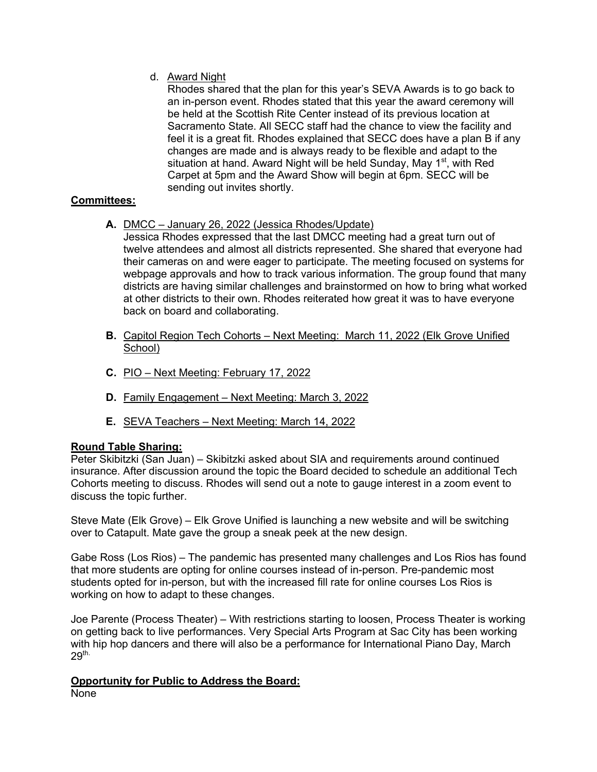## d. Award Night

Rhodes shared that the plan for this year's SEVA Awards is to go back to an in-person event. Rhodes stated that this year the award ceremony will be held at the Scottish Rite Center instead of its previous location at Sacramento State. All SECC staff had the chance to view the facility and feel it is a great fit. Rhodes explained that SECC does have a plan B if any changes are made and is always ready to be flexible and adapt to the situation at hand. Award Night will be held Sunday, May 1<sup>st</sup>, with Red Carpet at 5pm and the Award Show will begin at 6pm. SECC will be sending out invites shortly.

# **Committees:**

**A.** DMCC – January 26, 2022 (Jessica Rhodes/Update)

Jessica Rhodes expressed that the last DMCC meeting had a great turn out of twelve attendees and almost all districts represented. She shared that everyone had their cameras on and were eager to participate. The meeting focused on systems for webpage approvals and how to track various information. The group found that many districts are having similar challenges and brainstormed on how to bring what worked at other districts to their own. Rhodes reiterated how great it was to have everyone back on board and collaborating.

- **B.** Capitol Region Tech Cohorts Next Meeting: March 11, 2022 (Elk Grove Unified School)
- **C.** PIO Next Meeting: February 17, 2022
- **D.** Family Engagement Next Meeting: March 3, 2022
- **E.** SEVA Teachers Next Meeting: March 14, 2022

## **Round Table Sharing:**

Peter Skibitzki (San Juan) – Skibitzki asked about SIA and requirements around continued insurance. After discussion around the topic the Board decided to schedule an additional Tech Cohorts meeting to discuss. Rhodes will send out a note to gauge interest in a zoom event to discuss the topic further.

Steve Mate (Elk Grove) – Elk Grove Unified is launching a new website and will be switching over to Catapult. Mate gave the group a sneak peek at the new design.

Gabe Ross (Los Rios) – The pandemic has presented many challenges and Los Rios has found that more students are opting for online courses instead of in-person. Pre-pandemic most students opted for in-person, but with the increased fill rate for online courses Los Rios is working on how to adapt to these changes.

Joe Parente (Process Theater) – With restrictions starting to loosen, Process Theater is working on getting back to live performances. Very Special Arts Program at Sac City has been working with hip hop dancers and there will also be a performance for International Piano Day, March  $29<sup>th</sup>$ 

#### **Opportunity for Public to Address the Board:** None